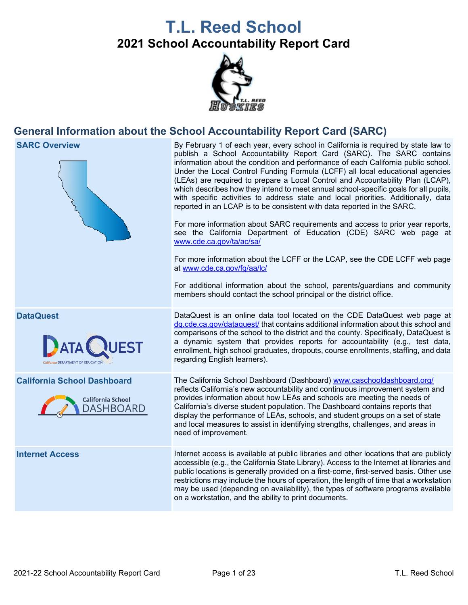# **T.L. Reed School 2021 School Accountability Report Card**



## **General Information about the School Accountability Report Card (SARC)**



**SARC Overview** By February 1 of each year, every school in California is required by state law to publish a School Accountability Report Card (SARC). The SARC contains information about the condition and performance of each California public school. Under the Local Control Funding Formula (LCFF) all local educational agencies (LEAs) are required to prepare a Local Control and Accountability Plan (LCAP), which describes how they intend to meet annual school-specific goals for all pupils, with specific activities to address state and local priorities. Additionally, data reported in an LCAP is to be consistent with data reported in the SARC.

> For more information about SARC requirements and access to prior year reports, see the California Department of Education (CDE) SARC web page at [www.cde.ca.gov/ta/ac/sa/](https://www.cde.ca.gov/ta/ac/sa/)

> For more information about the LCFF or the LCAP, see the CDE LCFF web page at [www.cde.ca.gov/fg/aa/lc/](https://www.cde.ca.gov/fg/aa/lc/)

> For additional information about the school, parents/guardians and community members should contact the school principal or the district office.

**DataQuest DataQuest DataQuest** is an online data tool located on the CDE DataQuest web page at [dq.cde.ca.gov/dataquest/](https://dq.cde.ca.gov/dataquest/) that contains additional information about this school and comparisons of the school to the district and the county. Specifically, DataQuest is a dynamic system that provides reports for accountability (e.g., test data, enrollment, high school graduates, dropouts, course enrollments, staffing, and data regarding English learners).

**California School Dashboard** The California School Dashboard (Dashboard) [www.caschooldashboard.org/](http://www.caschooldashboard.org/) reflects California's new accountability and continuous improvement system and provides information about how LEAs and schools are meeting the needs of California's diverse student population. The Dashboard contains reports that display the performance of LEAs, schools, and student groups on a set of state and local measures to assist in identifying strengths, challenges, and areas in need of improvement.

**Internet Access** Internet access is available at public libraries and other locations that are publicly accessible (e.g., the California State Library). Access to the Internet at libraries and public locations is generally provided on a first-come, first-served basis. Other use restrictions may include the hours of operation, the length of time that a workstation may be used (depending on availability), the types of software programs available on a workstation, and the ability to print documents.



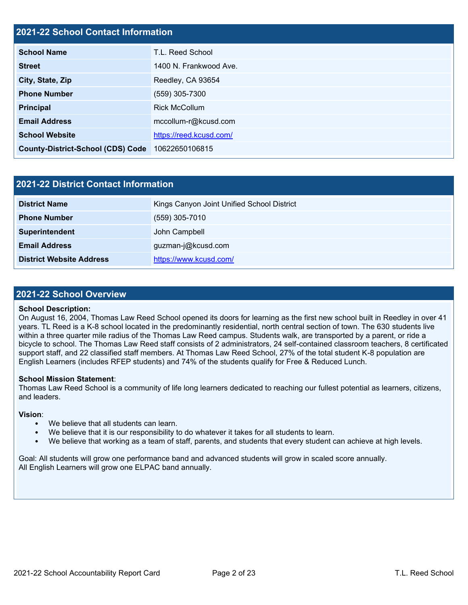# **2021-22 School Contact Information School Name** T.L. Reed School **Street** 1400 N. Frankwood Ave. **City, State, Zip** Reedley, CA 93654 **Phone Number** (559) 305-7300 **Principal** Rick McCollum **Email Address** mccollum-r@kcusd.com **School Website <https://reed.kcusd.com/> County-District-School (CDS) Code** 10622650106815

| 2021-22 District Contact Information |                                            |  |  |  |
|--------------------------------------|--------------------------------------------|--|--|--|
| <b>District Name</b>                 | Kings Canyon Joint Unified School District |  |  |  |
| <b>Phone Number</b>                  | $(559)$ 305-7010                           |  |  |  |
| Superintendent                       | John Campbell                              |  |  |  |
| <b>Email Address</b>                 | guzman-j@kcusd.com                         |  |  |  |
| <b>District Website Address</b>      | https://www.kcusd.com/                     |  |  |  |

#### **2021-22 School Overview**

#### **School Description:**

On August 16, 2004, Thomas Law Reed School opened its doors for learning as the first new school built in Reedley in over 41 years. TL Reed is a K-8 school located in the predominantly residential, north central section of town. The 630 students live within a three quarter mile radius of the Thomas Law Reed campus. Students walk, are transported by a parent, or ride a bicycle to school. The Thomas Law Reed staff consists of 2 administrators, 24 self-contained classroom teachers, 8 certificated support staff, and 22 classified staff members. At Thomas Law Reed School, 27% of the total student K-8 population are English Learners (includes RFEP students) and 74% of the students qualify for Free & Reduced Lunch.

#### **School Mission Statement**:

Thomas Law Reed School is a community of life long learners dedicated to reaching our fullest potential as learners, citizens, and leaders.

#### **Vision**:

- We believe that all students can learn.
- We believe that it is our responsibility to do whatever it takes for all students to learn.
- We believe that working as a team of staff, parents, and students that every student can achieve at high levels.

Goal: All students will grow one performance band and advanced students will grow in scaled score annually. All English Learners will grow one ELPAC band annually.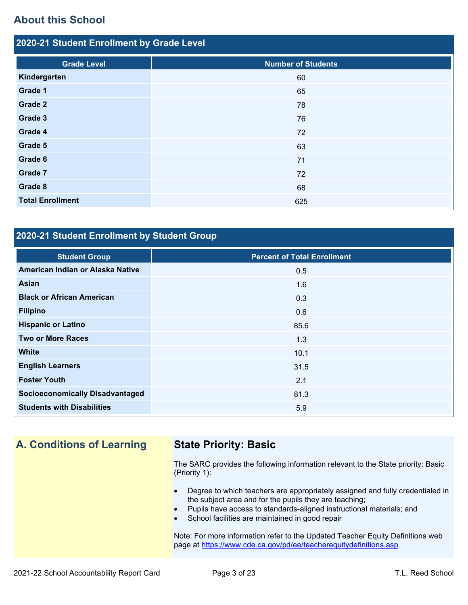## **About this School**

| 2020-21 Student Enrollment by Grade Level |                           |
|-------------------------------------------|---------------------------|
| <b>Grade Level</b>                        | <b>Number of Students</b> |
| Kindergarten                              | 60                        |
| Grade 1                                   | 65                        |
| Grade 2                                   | 78                        |
| Grade 3                                   | 76                        |
| Grade 4                                   | 72                        |
| Grade 5                                   | 63                        |
| Grade 6                                   | 71                        |
| Grade 7                                   | 72                        |
| Grade 8                                   | 68                        |
| <b>Total Enrollment</b>                   | 625                       |

## **2020-21 Student Enrollment by Student Group**

| <b>Student Group</b>                   | <b>Percent of Total Enrollment</b> |
|----------------------------------------|------------------------------------|
| American Indian or Alaska Native       | 0.5                                |
| Asian                                  | 1.6                                |
| <b>Black or African American</b>       | 0.3                                |
| <b>Filipino</b>                        | 0.6                                |
| <b>Hispanic or Latino</b>              | 85.6                               |
| <b>Two or More Races</b>               | 1.3                                |
| <b>White</b>                           | 10.1                               |
| <b>English Learners</b>                | 31.5                               |
| <b>Foster Youth</b>                    | 2.1                                |
| <b>Socioeconomically Disadvantaged</b> | 81.3                               |
| <b>Students with Disabilities</b>      | 5.9                                |

## **A. Conditions of Learning State Priority: Basic**

The SARC provides the following information relevant to the State priority: Basic (Priority 1):

- Degree to which teachers are appropriately assigned and fully credentialed in the subject area and for the pupils they are teaching;
- Pupils have access to standards-aligned instructional materials; and
- School facilities are maintained in good repair

Note: For more information refer to the Updated Teacher Equity Definitions web page at<https://www.cde.ca.gov/pd/ee/teacherequitydefinitions.asp>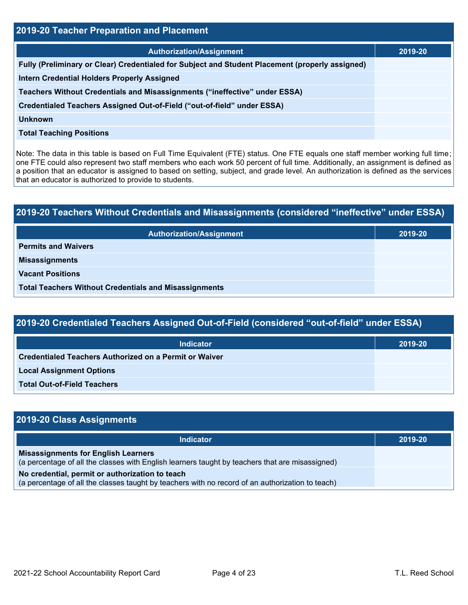| 2019-20 Teacher Preparation and Placement                                                       |         |  |  |  |
|-------------------------------------------------------------------------------------------------|---------|--|--|--|
| <b>Authorization/Assignment</b>                                                                 | 2019-20 |  |  |  |
| Fully (Preliminary or Clear) Credentialed for Subject and Student Placement (properly assigned) |         |  |  |  |
| <b>Intern Credential Holders Properly Assigned</b>                                              |         |  |  |  |
| Teachers Without Credentials and Misassignments ("ineffective" under ESSA)                      |         |  |  |  |
| Credentialed Teachers Assigned Out-of-Field ("out-of-field" under ESSA)                         |         |  |  |  |
| Unknown                                                                                         |         |  |  |  |
| <b>Total Teaching Positions</b>                                                                 |         |  |  |  |

Note: The data in this table is based on Full Time Equivalent (FTE) status. One FTE equals one staff member working full time; one FTE could also represent two staff members who each work 50 percent of full time. Additionally, an assignment is defined as a position that an educator is assigned to based on setting, subject, and grade level. An authorization is defined as the services that an educator is authorized to provide to students.

# **2019-20 Teachers Without Credentials and Misassignments (considered "ineffective" under ESSA) Authorization/Assignment 2019-20 Permits and Waivers Misassignments Vacant Positions Total Teachers Without Credentials and Misassignments**

| 2019-20 Credentialed Teachers Assigned Out-of-Field (considered "out-of-field" under ESSA) |         |  |  |  |  |
|--------------------------------------------------------------------------------------------|---------|--|--|--|--|
| <b>Indicator</b>                                                                           | 2019-20 |  |  |  |  |
| Credentialed Teachers Authorized on a Permit or Waiver                                     |         |  |  |  |  |
| <b>Local Assignment Options</b>                                                            |         |  |  |  |  |
| <b>Total Out-of-Field Teachers</b>                                                         |         |  |  |  |  |

| 2019-20 Class Assignments                                                                                                                           |         |
|-----------------------------------------------------------------------------------------------------------------------------------------------------|---------|
| <b>Indicator</b>                                                                                                                                    | 2019-20 |
| <b>Misassignments for English Learners</b><br>(a percentage of all the classes with English learners taught by teachers that are misassigned)       |         |
| No credential, permit or authorization to teach<br>(a percentage of all the classes taught by teachers with no record of an authorization to teach) |         |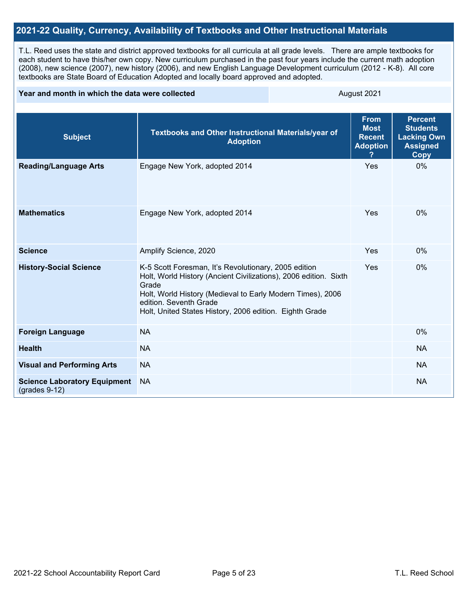### **2021-22 Quality, Currency, Availability of Textbooks and Other Instructional Materials**

T.L. Reed uses the state and district approved textbooks for all curricula at all grade levels. There are ample textbooks for each student to have this/her own copy. New curriculum purchased in the past four years include the current math adoption (2008), new science (2007), new history (2006), and new English Language Development curriculum (2012 - K-8). All core textbooks are State Board of Education Adopted and locally board approved and adopted.

#### **Year and month in which the data were collected** August 2021

| <b>Subject</b>                                         | Textbooks and Other Instructional Materials/year of<br><b>Adoption</b>                                                                                                                                                                                                               | <b>From</b><br><b>Most</b><br><b>Recent</b><br><b>Adoption</b> | <b>Percent</b><br><b>Students</b><br><b>Lacking Own</b><br><b>Assigned</b><br><b>Copy</b> |
|--------------------------------------------------------|--------------------------------------------------------------------------------------------------------------------------------------------------------------------------------------------------------------------------------------------------------------------------------------|----------------------------------------------------------------|-------------------------------------------------------------------------------------------|
| <b>Reading/Language Arts</b>                           | Engage New York, adopted 2014                                                                                                                                                                                                                                                        | Yes                                                            | 0%                                                                                        |
| <b>Mathematics</b>                                     | Engage New York, adopted 2014                                                                                                                                                                                                                                                        | Yes                                                            | 0%                                                                                        |
| <b>Science</b>                                         | Amplify Science, 2020                                                                                                                                                                                                                                                                | Yes                                                            | 0%                                                                                        |
| <b>History-Social Science</b>                          | K-5 Scott Foresman, It's Revolutionary, 2005 edition<br>Holt, World History (Ancient Civilizations), 2006 edition. Sixth<br>Grade<br>Holt, World History (Medieval to Early Modern Times), 2006<br>edition. Seventh Grade<br>Holt, United States History, 2006 edition. Eighth Grade | Yes                                                            | 0%                                                                                        |
| <b>Foreign Language</b>                                | <b>NA</b>                                                                                                                                                                                                                                                                            |                                                                | 0%                                                                                        |
| <b>Health</b>                                          | <b>NA</b>                                                                                                                                                                                                                                                                            |                                                                | <b>NA</b>                                                                                 |
| <b>Visual and Performing Arts</b>                      | <b>NA</b>                                                                                                                                                                                                                                                                            |                                                                | <b>NA</b>                                                                                 |
| <b>Science Laboratory Equipment</b><br>$(grades 9-12)$ | <b>NA</b>                                                                                                                                                                                                                                                                            |                                                                | <b>NA</b>                                                                                 |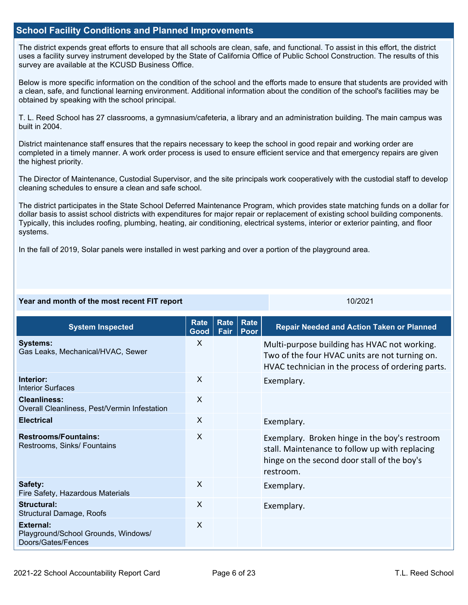#### **School Facility Conditions and Planned Improvements**

The district expends great efforts to ensure that all schools are clean, safe, and functional. To assist in this effort, the district uses a facility survey instrument developed by the State of California Office of Public School Construction. The results of this survey are available at the KCUSD Business Office.

Below is more specific information on the condition of the school and the efforts made to ensure that students are provided with a clean, safe, and functional learning environment. Additional information about the condition of the school's facilities may be obtained by speaking with the school principal.

T. L. Reed School has 27 classrooms, a gymnasium/cafeteria, a library and an administration building. The main campus was built in 2004.

District maintenance staff ensures that the repairs necessary to keep the school in good repair and working order are completed in a timely manner. A work order process is used to ensure efficient service and that emergency repairs are given the highest priority.

The Director of Maintenance, Custodial Supervisor, and the site principals work cooperatively with the custodial staff to develop cleaning schedules to ensure a clean and safe school.

The district participates in the State School Deferred Maintenance Program, which provides state matching funds on a dollar for dollar basis to assist school districts with expenditures for major repair or replacement of existing school building components. Typically, this includes roofing, plumbing, heating, air conditioning, electrical systems, interior or exterior painting, and floor systems.

In the fall of 2019, Solar panels were installed in west parking and over a portion of the playground area.

#### **Year and month of the most recent FIT report** 10/2021 10/2021

**System Inspected Rate Good Rate Fair Rate Poor Repair Needed and Action Taken or Planned Systems:** Gas Leaks, Mechanical/HVAC, Sewer X Multi-purpose building has HVAC not working. Two of the four HVAC units are not turning on. HVAC technician in the process of ordering parts. **Interior:** Interior Surfaces X Exemplary. **Cleanliness:** Overall Cleanliness, Pest/Vermin Infestation X **Electrical** Exemplary. **Restrooms/Fountains:** Restrooms, Sinks/ Fountains X Exemplary. Broken hinge in the boy's restroom stall. Maintenance to follow up with replacing hinge on the second door stall of the boy's restroom. **Safety:** Fire Safety, Hazardous Materials X Exemplary. **Structural:** Structural Damage, Roofs X Exemplary. **External:** Playground/School Grounds, Windows/ Doors/Gates/Fences X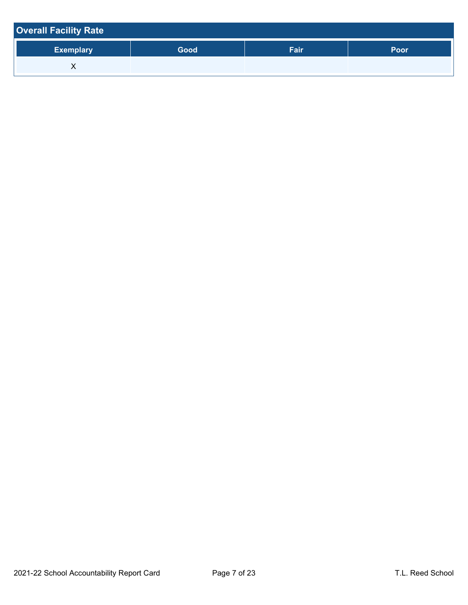| <b>Overall Facility Rate</b> |      |      |             |
|------------------------------|------|------|-------------|
| <b>Exemplary</b>             | Good | Fair | <b>Poor</b> |
|                              |      |      |             |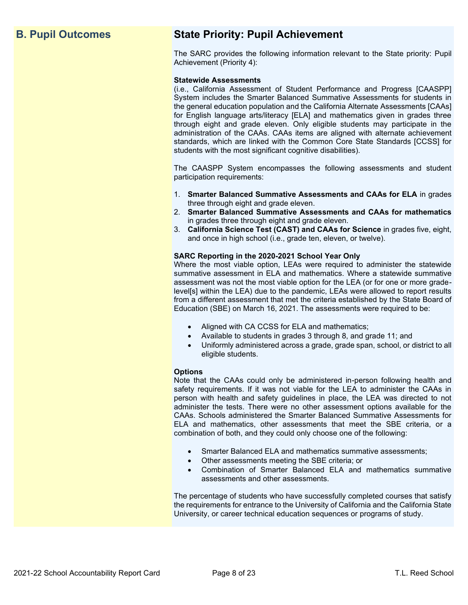## **B. Pupil Outcomes State Priority: Pupil Achievement**

The SARC provides the following information relevant to the State priority: Pupil Achievement (Priority 4):

#### **Statewide Assessments**

(i.e., California Assessment of Student Performance and Progress [CAASPP] System includes the Smarter Balanced Summative Assessments for students in the general education population and the California Alternate Assessments [CAAs] for English language arts/literacy [ELA] and mathematics given in grades three through eight and grade eleven. Only eligible students may participate in the administration of the CAAs. CAAs items are aligned with alternate achievement standards, which are linked with the Common Core State Standards [CCSS] for students with the most significant cognitive disabilities).

The CAASPP System encompasses the following assessments and student participation requirements:

- 1. **Smarter Balanced Summative Assessments and CAAs for ELA** in grades three through eight and grade eleven.
- 2. **Smarter Balanced Summative Assessments and CAAs for mathematics** in grades three through eight and grade eleven.
- 3. **California Science Test (CAST) and CAAs for Science** in grades five, eight, and once in high school (i.e., grade ten, eleven, or twelve).

#### **SARC Reporting in the 2020-2021 School Year Only**

Where the most viable option, LEAs were required to administer the statewide summative assessment in ELA and mathematics. Where a statewide summative assessment was not the most viable option for the LEA (or for one or more gradelevel[s] within the LEA) due to the pandemic, LEAs were allowed to report results from a different assessment that met the criteria established by the State Board of Education (SBE) on March 16, 2021. The assessments were required to be:

- Aligned with CA CCSS for ELA and mathematics;
- Available to students in grades 3 through 8, and grade 11; and
- Uniformly administered across a grade, grade span, school, or district to all eligible students.

#### **Options**

Note that the CAAs could only be administered in-person following health and safety requirements. If it was not viable for the LEA to administer the CAAs in person with health and safety guidelines in place, the LEA was directed to not administer the tests. There were no other assessment options available for the CAAs. Schools administered the Smarter Balanced Summative Assessments for ELA and mathematics, other assessments that meet the SBE criteria, or a combination of both, and they could only choose one of the following:

- Smarter Balanced ELA and mathematics summative assessments;
- Other assessments meeting the SBE criteria; or
- Combination of Smarter Balanced ELA and mathematics summative assessments and other assessments.

The percentage of students who have successfully completed courses that satisfy the requirements for entrance to the University of California and the California State University, or career technical education sequences or programs of study.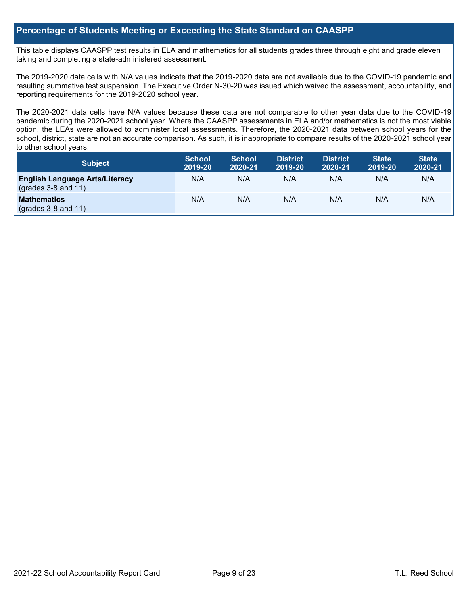#### **Percentage of Students Meeting or Exceeding the State Standard on CAASPP**

This table displays CAASPP test results in ELA and mathematics for all students grades three through eight and grade eleven taking and completing a state-administered assessment.

The 2019-2020 data cells with N/A values indicate that the 2019-2020 data are not available due to the COVID-19 pandemic and resulting summative test suspension. The Executive Order N-30-20 was issued which waived the assessment, accountability, and reporting requirements for the 2019-2020 school year.

The 2020-2021 data cells have N/A values because these data are not comparable to other year data due to the COVID-19 pandemic during the 2020-2021 school year. Where the CAASPP assessments in ELA and/or mathematics is not the most viable option, the LEAs were allowed to administer local assessments. Therefore, the 2020-2021 data between school years for the school, district, state are not an accurate comparison. As such, it is inappropriate to compare results of the 2020-2021 school year to other school years.

| Subject                                                              | <b>School</b><br>2019-20 | <b>School</b><br>2020-21 | <b>District</b><br>2019-20 | <b>District</b><br>2020-21 | <b>State</b><br>2019-20 | <b>State</b><br>2020-21 |
|----------------------------------------------------------------------|--------------------------|--------------------------|----------------------------|----------------------------|-------------------------|-------------------------|
| <b>English Language Arts/Literacy</b><br>$\left($ grades 3-8 and 11) | N/A                      | N/A                      | N/A                        | N/A                        | N/A                     | N/A                     |
| <b>Mathematics</b><br>$(grades 3-8 and 11)$                          | N/A                      | N/A                      | N/A                        | N/A                        | N/A                     | N/A                     |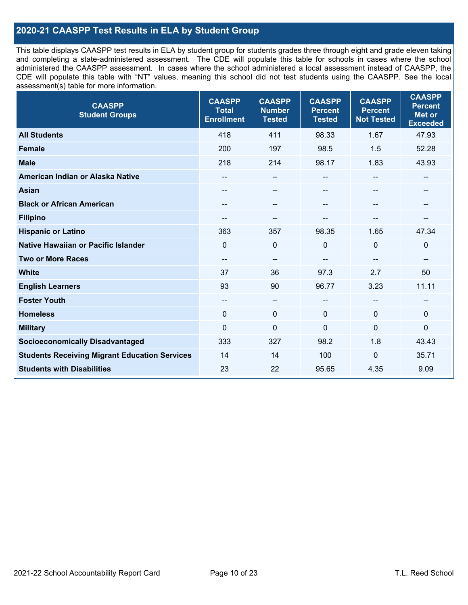### **2020-21 CAASPP Test Results in ELA by Student Group**

This table displays CAASPP test results in ELA by student group for students grades three through eight and grade eleven taking and completing a state-administered assessment. The CDE will populate this table for schools in cases where the school administered the CAASPP assessment. In cases where the school administered a local assessment instead of CAASPP, the CDE will populate this table with "NT" values, meaning this school did not test students using the CAASPP. See the local assessment(s) table for more information.

| <b>CAASPP</b><br><b>Student Groups</b>               | <b>CAASPP</b><br><b>Total</b><br><b>Enrollment</b> | <b>CAASPP</b><br><b>Number</b><br><b>Tested</b> | <b>CAASPP</b><br><b>Percent</b><br><b>Tested</b> | <b>CAASPP</b><br><b>Percent</b><br><b>Not Tested</b> | <b>CAASPP</b><br><b>Percent</b><br><b>Met or</b><br><b>Exceeded</b> |
|------------------------------------------------------|----------------------------------------------------|-------------------------------------------------|--------------------------------------------------|------------------------------------------------------|---------------------------------------------------------------------|
| <b>All Students</b>                                  | 418                                                | 411                                             | 98.33                                            | 1.67                                                 | 47.93                                                               |
| <b>Female</b>                                        | 200                                                | 197                                             | 98.5                                             | 1.5                                                  | 52.28                                                               |
| <b>Male</b>                                          | 218                                                | 214                                             | 98.17                                            | 1.83                                                 | 43.93                                                               |
| American Indian or Alaska Native                     | $\qquad \qquad -$                                  | $\sim$                                          | --                                               | $-$                                                  | --                                                                  |
| <b>Asian</b>                                         |                                                    | --                                              |                                                  |                                                      | --                                                                  |
| <b>Black or African American</b>                     | --                                                 | $\overline{\phantom{m}}$                        | --                                               | $\sim$                                               | --                                                                  |
| <b>Filipino</b>                                      | --                                                 | --                                              |                                                  | --                                                   | --                                                                  |
| <b>Hispanic or Latino</b>                            | 363                                                | 357                                             | 98.35                                            | 1.65                                                 | 47.34                                                               |
| Native Hawaiian or Pacific Islander                  | $\mathbf 0$                                        | $\mathbf 0$                                     | $\mathbf{0}$                                     | $\mathbf 0$                                          | $\mathbf 0$                                                         |
| <b>Two or More Races</b>                             | --                                                 | $\qquad \qquad -$                               |                                                  |                                                      | --                                                                  |
| <b>White</b>                                         | 37                                                 | 36                                              | 97.3                                             | 2.7                                                  | 50                                                                  |
| <b>English Learners</b>                              | 93                                                 | 90                                              | 96.77                                            | 3.23                                                 | 11.11                                                               |
| <b>Foster Youth</b>                                  | $-$                                                | $\sim$ $\sim$                                   | $-$                                              | $\overline{a}$                                       | --                                                                  |
| <b>Homeless</b>                                      | $\Omega$                                           | $\mathbf 0$                                     | $\mathbf{0}$                                     | $\mathbf{0}$                                         | $\mathbf 0$                                                         |
| <b>Military</b>                                      | $\mathbf 0$                                        | $\mathbf 0$                                     | $\mathbf{0}$                                     | 0                                                    | 0                                                                   |
| <b>Socioeconomically Disadvantaged</b>               | 333                                                | 327                                             | 98.2                                             | 1.8                                                  | 43.43                                                               |
| <b>Students Receiving Migrant Education Services</b> | 14                                                 | 14                                              | 100                                              | $\Omega$                                             | 35.71                                                               |
| <b>Students with Disabilities</b>                    | 23                                                 | 22                                              | 95.65                                            | 4.35                                                 | 9.09                                                                |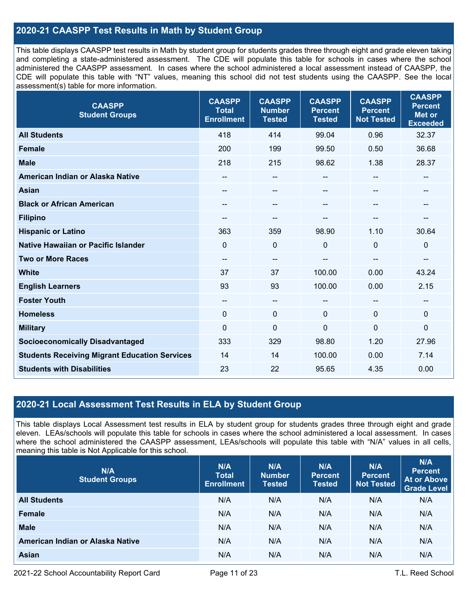### **2020-21 CAASPP Test Results in Math by Student Group**

This table displays CAASPP test results in Math by student group for students grades three through eight and grade eleven taking and completing a state-administered assessment. The CDE will populate this table for schools in cases where the school administered the CAASPP assessment. In cases where the school administered a local assessment instead of CAASPP, the CDE will populate this table with "NT" values, meaning this school did not test students using the CAASPP. See the local assessment(s) table for more information.

| <b>CAASPP</b><br><b>Student Groups</b>               | <b>CAASPP</b><br><b>Total</b><br><b>Enrollment</b> | <b>CAASPP</b><br><b>Number</b><br><b>Tested</b> | <b>CAASPP</b><br><b>Percent</b><br><b>Tested</b> | <b>CAASPP</b><br><b>Percent</b><br><b>Not Tested</b> | <b>CAASPP</b><br><b>Percent</b><br><b>Met or</b><br><b>Exceeded</b> |
|------------------------------------------------------|----------------------------------------------------|-------------------------------------------------|--------------------------------------------------|------------------------------------------------------|---------------------------------------------------------------------|
| <b>All Students</b>                                  | 418                                                | 414                                             | 99.04                                            | 0.96                                                 | 32.37                                                               |
| <b>Female</b>                                        | 200                                                | 199                                             | 99.50                                            | 0.50                                                 | 36.68                                                               |
| <b>Male</b>                                          | 218                                                | 215                                             | 98.62                                            | 1.38                                                 | 28.37                                                               |
| American Indian or Alaska Native                     | --                                                 | $\overline{\phantom{a}}$                        | --                                               | $\overline{\phantom{a}}$                             | $\hspace{0.05cm}$                                                   |
| <b>Asian</b>                                         | --                                                 | --                                              | --                                               | --                                                   | $\sim$                                                              |
| <b>Black or African American</b>                     | --                                                 | --                                              | --                                               |                                                      | --                                                                  |
| <b>Filipino</b>                                      | --                                                 | --                                              |                                                  |                                                      |                                                                     |
| <b>Hispanic or Latino</b>                            | 363                                                | 359                                             | 98.90                                            | 1.10                                                 | 30.64                                                               |
| Native Hawaiian or Pacific Islander                  | $\Omega$                                           | 0                                               | 0                                                | $\overline{0}$                                       | $\mathbf 0$                                                         |
| <b>Two or More Races</b>                             | --                                                 | $\overline{\phantom{a}}$                        | --                                               | --                                                   | $\overline{\phantom{a}}$                                            |
| <b>White</b>                                         | 37                                                 | 37                                              | 100.00                                           | 0.00                                                 | 43.24                                                               |
| <b>English Learners</b>                              | 93                                                 | 93                                              | 100.00                                           | 0.00                                                 | 2.15                                                                |
| <b>Foster Youth</b>                                  | --                                                 | $\overline{\phantom{a}}$                        | --                                               | --                                                   | $\sim$                                                              |
| <b>Homeless</b>                                      | $\Omega$                                           | $\mathbf 0$                                     | $\mathbf 0$                                      | $\Omega$                                             | $\mathbf 0$                                                         |
| <b>Military</b>                                      | $\Omega$                                           | $\mathbf 0$                                     | $\Omega$                                         | $\mathbf{0}$                                         | $\mathbf 0$                                                         |
| <b>Socioeconomically Disadvantaged</b>               | 333                                                | 329                                             | 98.80                                            | 1.20                                                 | 27.96                                                               |
| <b>Students Receiving Migrant Education Services</b> | 14                                                 | 14                                              | 100.00                                           | 0.00                                                 | 7.14                                                                |
| <b>Students with Disabilities</b>                    | 23                                                 | 22                                              | 95.65                                            | 4.35                                                 | 0.00                                                                |

### **2020-21 Local Assessment Test Results in ELA by Student Group**

This table displays Local Assessment test results in ELA by student group for students grades three through eight and grade eleven. LEAs/schools will populate this table for schools in cases where the school administered a local assessment. In cases where the school administered the CAASPP assessment, LEAs/schools will populate this table with "N/A" values in all cells, meaning this table is Not Applicable for this school.

| N/A<br><b>Student Groups</b>     | N/A<br><b>Total</b><br><b>Enrollment</b> | N/A<br><b>Number</b><br><b>Tested</b> | N/A<br><b>Percent</b><br><b>Tested</b> | N/A<br><b>Percent</b><br><b>Not Tested</b> | N/A<br><b>Percent</b><br><b>At or Above</b><br><b>Grade Level</b> |
|----------------------------------|------------------------------------------|---------------------------------------|----------------------------------------|--------------------------------------------|-------------------------------------------------------------------|
| <b>All Students</b>              | N/A                                      | N/A                                   | N/A                                    | N/A                                        | N/A                                                               |
| Female                           | N/A                                      | N/A                                   | N/A                                    | N/A                                        | N/A                                                               |
| <b>Male</b>                      | N/A                                      | N/A                                   | N/A                                    | N/A                                        | N/A                                                               |
| American Indian or Alaska Native | N/A                                      | N/A                                   | N/A                                    | N/A                                        | N/A                                                               |
| <b>Asian</b>                     | N/A                                      | N/A                                   | N/A                                    | N/A                                        | N/A                                                               |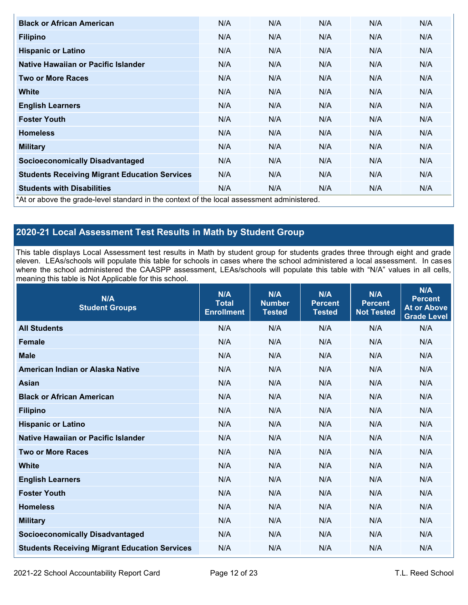| <b>Black or African American</b>                                                           | N/A | N/A | N/A | N/A | N/A |
|--------------------------------------------------------------------------------------------|-----|-----|-----|-----|-----|
| <b>Filipino</b>                                                                            | N/A | N/A | N/A | N/A | N/A |
| <b>Hispanic or Latino</b>                                                                  | N/A | N/A | N/A | N/A | N/A |
| Native Hawaiian or Pacific Islander                                                        | N/A | N/A | N/A | N/A | N/A |
| <b>Two or More Races</b>                                                                   | N/A | N/A | N/A | N/A | N/A |
| <b>White</b>                                                                               | N/A | N/A | N/A | N/A | N/A |
| <b>English Learners</b>                                                                    | N/A | N/A | N/A | N/A | N/A |
| <b>Foster Youth</b>                                                                        | N/A | N/A | N/A | N/A | N/A |
| <b>Homeless</b>                                                                            | N/A | N/A | N/A | N/A | N/A |
| <b>Military</b>                                                                            | N/A | N/A | N/A | N/A | N/A |
| <b>Socioeconomically Disadvantaged</b>                                                     | N/A | N/A | N/A | N/A | N/A |
| <b>Students Receiving Migrant Education Services</b>                                       | N/A | N/A | N/A | N/A | N/A |
| <b>Students with Disabilities</b>                                                          | N/A | N/A | N/A | N/A | N/A |
| *At or above the grade-level standard in the context of the local assessment administered. |     |     |     |     |     |

## **2020-21 Local Assessment Test Results in Math by Student Group**

This table displays Local Assessment test results in Math by student group for students grades three through eight and grade eleven. LEAs/schools will populate this table for schools in cases where the school administered a local assessment. In cases where the school administered the CAASPP assessment, LEAs/schools will populate this table with "N/A" values in all cells, meaning this table is Not Applicable for this school.

| N/A<br><b>Student Groups</b>                         | N/A<br><b>Total</b><br><b>Enrollment</b> | N/A<br><b>Number</b><br><b>Tested</b> | N/A<br><b>Percent</b><br><b>Tested</b> | N/A<br><b>Percent</b><br><b>Not Tested</b> | N/A<br><b>Percent</b><br><b>At or Above</b><br><b>Grade Level</b> |
|------------------------------------------------------|------------------------------------------|---------------------------------------|----------------------------------------|--------------------------------------------|-------------------------------------------------------------------|
| <b>All Students</b>                                  | N/A                                      | N/A                                   | N/A                                    | N/A                                        | N/A                                                               |
| <b>Female</b>                                        | N/A                                      | N/A                                   | N/A                                    | N/A                                        | N/A                                                               |
| <b>Male</b>                                          | N/A                                      | N/A                                   | N/A                                    | N/A                                        | N/A                                                               |
| American Indian or Alaska Native                     | N/A                                      | N/A                                   | N/A                                    | N/A                                        | N/A                                                               |
| <b>Asian</b>                                         | N/A                                      | N/A                                   | N/A                                    | N/A                                        | N/A                                                               |
| <b>Black or African American</b>                     | N/A                                      | N/A                                   | N/A                                    | N/A                                        | N/A                                                               |
| <b>Filipino</b>                                      | N/A                                      | N/A                                   | N/A                                    | N/A                                        | N/A                                                               |
| <b>Hispanic or Latino</b>                            | N/A                                      | N/A                                   | N/A                                    | N/A                                        | N/A                                                               |
| Native Hawaiian or Pacific Islander                  | N/A                                      | N/A                                   | N/A                                    | N/A                                        | N/A                                                               |
| <b>Two or More Races</b>                             | N/A                                      | N/A                                   | N/A                                    | N/A                                        | N/A                                                               |
| <b>White</b>                                         | N/A                                      | N/A                                   | N/A                                    | N/A                                        | N/A                                                               |
| <b>English Learners</b>                              | N/A                                      | N/A                                   | N/A                                    | N/A                                        | N/A                                                               |
| <b>Foster Youth</b>                                  | N/A                                      | N/A                                   | N/A                                    | N/A                                        | N/A                                                               |
| <b>Homeless</b>                                      | N/A                                      | N/A                                   | N/A                                    | N/A                                        | N/A                                                               |
| <b>Military</b>                                      | N/A                                      | N/A                                   | N/A                                    | N/A                                        | N/A                                                               |
| <b>Socioeconomically Disadvantaged</b>               | N/A                                      | N/A                                   | N/A                                    | N/A                                        | N/A                                                               |
| <b>Students Receiving Migrant Education Services</b> | N/A                                      | N/A                                   | N/A                                    | N/A                                        | N/A                                                               |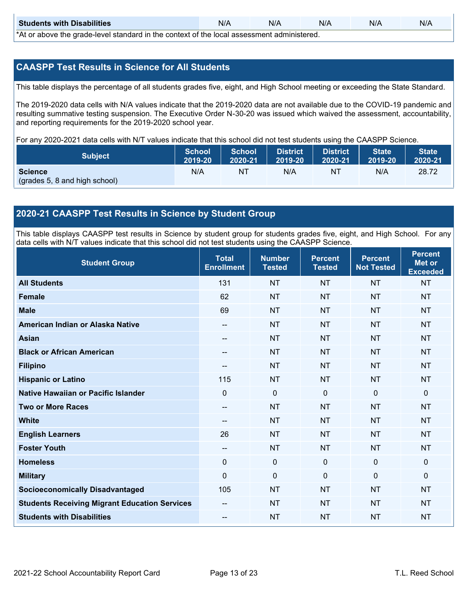| <b>Students with Disabilities</b>                                                           | N/A | N/A | N/A | N/A | N/A |  |  |
|---------------------------------------------------------------------------------------------|-----|-----|-----|-----|-----|--|--|
| *At as above the escale level standard in the context of the local accordinate admissioned. |     |     |     |     |     |  |  |

\*At or above the grade-level standard in the context of the local assessment administered.

#### **CAASPP Test Results in Science for All Students**

This table displays the percentage of all students grades five, eight, and High School meeting or exceeding the State Standard.

The 2019-2020 data cells with N/A values indicate that the 2019-2020 data are not available due to the COVID-19 pandemic and resulting summative testing suspension. The Executive Order N-30-20 was issued which waived the assessment, accountability, and reporting requirements for the 2019-2020 school year.

For any 2020-2021 data cells with N/T values indicate that this school did not test students using the CAASPP Science.

| <b>Subject</b>                           | <b>School</b> | <b>School</b> | District | <b>District</b> | <b>State</b> | <b>State</b> |
|------------------------------------------|---------------|---------------|----------|-----------------|--------------|--------------|
|                                          | 2019-20       | 2020-21       | 2019-20  | 2020-21         | 2019-20      | 2020-21      |
| Science<br>(grades 5, 8 and high school) | N/A           | ΝT            | N/A      | NT              | N/A          | 28.72        |

### **2020-21 CAASPP Test Results in Science by Student Group**

This table displays CAASPP test results in Science by student group for students grades five, eight, and High School. For any data cells with N/T values indicate that this school did not test students using the CAASPP Science.

| <b>Student Group</b>                                 | <b>Total</b><br><b>Enrollment</b> | <b>Number</b><br><b>Tested</b> | <b>Percent</b><br><b>Tested</b> | <b>Percent</b><br><b>Not Tested</b> | <b>Percent</b><br><b>Met or</b><br><b>Exceeded</b> |
|------------------------------------------------------|-----------------------------------|--------------------------------|---------------------------------|-------------------------------------|----------------------------------------------------|
| <b>All Students</b>                                  | 131                               | <b>NT</b>                      | <b>NT</b>                       | <b>NT</b>                           | <b>NT</b>                                          |
| <b>Female</b>                                        | 62                                | <b>NT</b>                      | <b>NT</b>                       | <b>NT</b>                           | <b>NT</b>                                          |
| <b>Male</b>                                          | 69                                | <b>NT</b>                      | <b>NT</b>                       | <b>NT</b>                           | <b>NT</b>                                          |
| American Indian or Alaska Native                     | $\overline{\phantom{a}}$          | <b>NT</b>                      | <b>NT</b>                       | <b>NT</b>                           | <b>NT</b>                                          |
| <b>Asian</b>                                         | --                                | <b>NT</b>                      | <b>NT</b>                       | <b>NT</b>                           | <b>NT</b>                                          |
| <b>Black or African American</b>                     | --                                | <b>NT</b>                      | <b>NT</b>                       | <b>NT</b>                           | <b>NT</b>                                          |
| <b>Filipino</b>                                      | --                                | <b>NT</b>                      | <b>NT</b>                       | <b>NT</b>                           | <b>NT</b>                                          |
| <b>Hispanic or Latino</b>                            | 115                               | <b>NT</b>                      | <b>NT</b>                       | <b>NT</b>                           | <b>NT</b>                                          |
| Native Hawaiian or Pacific Islander                  | 0                                 | $\mathbf 0$                    | $\mathbf 0$                     | $\mathbf 0$                         | $\mathbf{0}$                                       |
| <b>Two or More Races</b>                             | $\overline{a}$                    | <b>NT</b>                      | <b>NT</b>                       | <b>NT</b>                           | <b>NT</b>                                          |
| <b>White</b>                                         | $\overline{a}$                    | <b>NT</b>                      | <b>NT</b>                       | <b>NT</b>                           | <b>NT</b>                                          |
| <b>English Learners</b>                              | 26                                | <b>NT</b>                      | <b>NT</b>                       | <b>NT</b>                           | <b>NT</b>                                          |
| <b>Foster Youth</b>                                  | $\overline{\phantom{a}}$          | <b>NT</b>                      | <b>NT</b>                       | <b>NT</b>                           | <b>NT</b>                                          |
| <b>Homeless</b>                                      | 0                                 | $\mathbf{0}$                   | $\mathbf 0$                     | $\mathbf 0$                         | $\mathbf 0$                                        |
| <b>Military</b>                                      | $\mathbf 0$                       | $\mathbf 0$                    | $\Omega$                        | $\mathbf{0}$                        | $\mathbf{0}$                                       |
| <b>Socioeconomically Disadvantaged</b>               | 105                               | <b>NT</b>                      | <b>NT</b>                       | <b>NT</b>                           | <b>NT</b>                                          |
| <b>Students Receiving Migrant Education Services</b> |                                   | <b>NT</b>                      | <b>NT</b>                       | <b>NT</b>                           | <b>NT</b>                                          |
| <b>Students with Disabilities</b>                    | --                                | <b>NT</b>                      | <b>NT</b>                       | <b>NT</b>                           | <b>NT</b>                                          |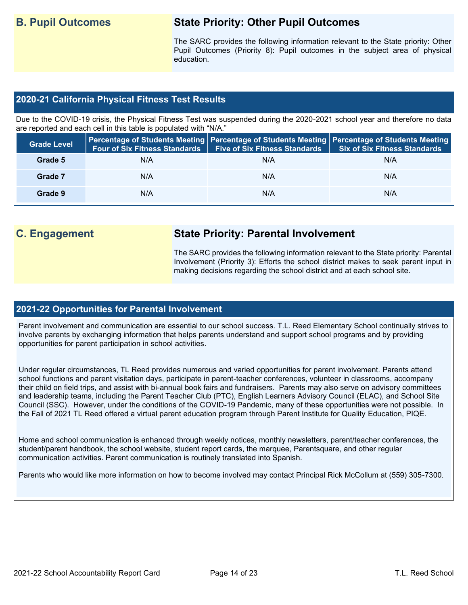## **B. Pupil Outcomes State Priority: Other Pupil Outcomes**

The SARC provides the following information relevant to the State priority: Other Pupil Outcomes (Priority 8): Pupil outcomes in the subject area of physical education.

#### **2020-21 California Physical Fitness Test Results**

Due to the COVID-19 crisis, the Physical Fitness Test was suspended during the 2020-2021 school year and therefore no data are reported and each cell in this table is populated with "N/A."

| <b>Grade Level</b> | <b>Four of Six Fitness Standards</b> | <b>Five of Six Fitness Standards</b> | Percentage of Students Meeting   Percentage of Students Meeting   Percentage of Students Meeting  <br><b>Six of Six Fitness Standards</b> |
|--------------------|--------------------------------------|--------------------------------------|-------------------------------------------------------------------------------------------------------------------------------------------|
| Grade 5            | N/A                                  | N/A                                  | N/A                                                                                                                                       |
| Grade 7            | N/A                                  | N/A                                  | N/A                                                                                                                                       |
| Grade 9            | N/A                                  | N/A                                  | N/A                                                                                                                                       |

## **C. Engagement State Priority: Parental Involvement**

The SARC provides the following information relevant to the State priority: Parental Involvement (Priority 3): Efforts the school district makes to seek parent input in making decisions regarding the school district and at each school site.

#### **2021-22 Opportunities for Parental Involvement**

Parent involvement and communication are essential to our school success. T.L. Reed Elementary School continually strives to involve parents by exchanging information that helps parents understand and support school programs and by providing opportunities for parent participation in school activities.

Under regular circumstances, TL Reed provides numerous and varied opportunities for parent involvement. Parents attend school functions and parent visitation days, participate in parent-teacher conferences, volunteer in classrooms, accompany their child on field trips, and assist with bi-annual book fairs and fundraisers. Parents may also serve on advisory committees and leadership teams, including the Parent Teacher Club (PTC), English Learners Advisory Council (ELAC), and School Site Council (SSC). However, under the conditions of the COVID-19 Pandemic, many of these opportunities were not possible. In the Fall of 2021 TL Reed offered a virtual parent education program through Parent Institute for Quality Education, PIQE.

Home and school communication is enhanced through weekly notices, monthly newsletters, parent/teacher conferences, the student/parent handbook, the school website, student report cards, the marquee, Parentsquare, and other regular communication activities. Parent communication is routinely translated into Spanish.

Parents who would like more information on how to become involved may contact Principal Rick McCollum at (559) 305-7300.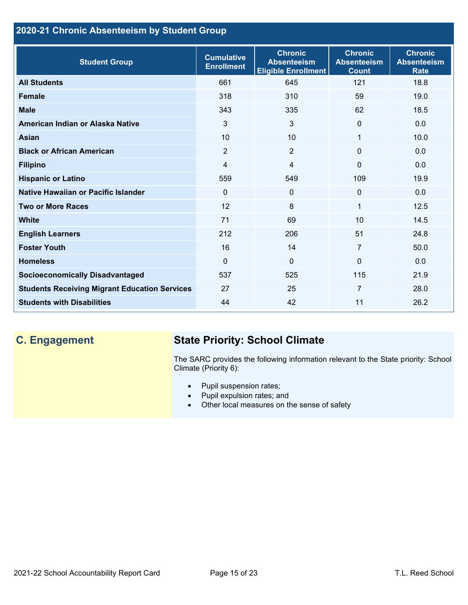## **2020-21 Chronic Absenteeism by Student Group**

| <b>Student Group</b>                                 | <b>Cumulative</b><br><b>Enrollment</b> | <b>Chronic</b><br><b>Absenteeism</b><br><b>Eligible Enrollment</b> | <b>Chronic</b><br><b>Absenteeism</b><br><b>Count</b> | <b>Chronic</b><br><b>Absenteeism</b><br><b>Rate</b> |
|------------------------------------------------------|----------------------------------------|--------------------------------------------------------------------|------------------------------------------------------|-----------------------------------------------------|
| <b>All Students</b>                                  | 661                                    | 645                                                                | 121                                                  | 18.8                                                |
| <b>Female</b>                                        | 318                                    | 310                                                                | 59                                                   | 19.0                                                |
| <b>Male</b>                                          | 343                                    | 335                                                                | 62                                                   | 18.5                                                |
| American Indian or Alaska Native                     | 3                                      | 3                                                                  | $\mathbf{0}$                                         | 0.0                                                 |
| <b>Asian</b>                                         | 10                                     | 10                                                                 | 1                                                    | 10.0                                                |
| <b>Black or African American</b>                     | $\overline{2}$                         | $\overline{2}$                                                     | $\mathbf{0}$                                         | 0.0                                                 |
| <b>Filipino</b>                                      | $\overline{4}$                         | $\overline{4}$                                                     | $\mathbf{0}$                                         | 0.0                                                 |
| <b>Hispanic or Latino</b>                            | 559                                    | 549                                                                | 109                                                  | 19.9                                                |
| Native Hawaiian or Pacific Islander                  | $\Omega$                               | $\mathbf 0$                                                        | $\mathbf 0$                                          | 0.0                                                 |
| <b>Two or More Races</b>                             | 12                                     | 8                                                                  | 1                                                    | 12.5                                                |
| <b>White</b>                                         | 71                                     | 69                                                                 | 10                                                   | 14.5                                                |
| <b>English Learners</b>                              | 212                                    | 206                                                                | 51                                                   | 24.8                                                |
| <b>Foster Youth</b>                                  | 16                                     | 14                                                                 | $\overline{7}$                                       | 50.0                                                |
| <b>Homeless</b>                                      | $\Omega$                               | $\overline{0}$                                                     | $\Omega$                                             | 0.0                                                 |
| <b>Socioeconomically Disadvantaged</b>               | 537                                    | 525                                                                | 115                                                  | 21.9                                                |
| <b>Students Receiving Migrant Education Services</b> | 27                                     | 25                                                                 | $\overline{7}$                                       | 28.0                                                |
| <b>Students with Disabilities</b>                    | 44                                     | 42                                                                 | 11                                                   | 26.2                                                |

# **C. Engagement State Priority: School Climate**

The SARC provides the following information relevant to the State priority: School Climate (Priority 6):

- Pupil suspension rates;
- Pupil expulsion rates; and
- Other local measures on the sense of safety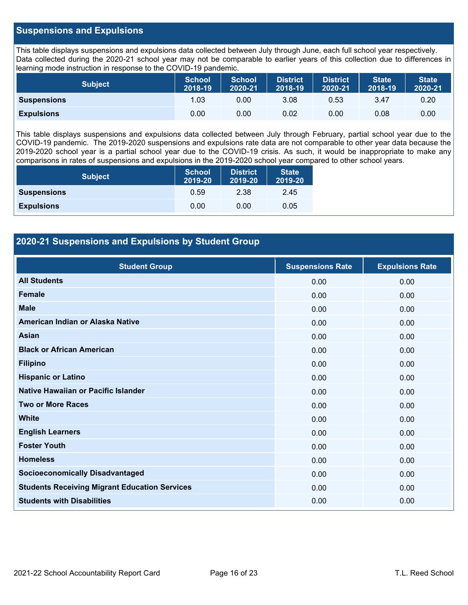#### **Suspensions and Expulsions**

This table displays suspensions and expulsions data collected between July through June, each full school year respectively. Data collected during the 2020-21 school year may not be comparable to earlier years of this collection due to differences in learning mode instruction in response to the COVID-19 pandemic.

| <b>Subject</b>     | <b>School</b><br>2018-19 | <b>School</b><br>2020-21 | <b>District</b><br>2018-19 | <b>District</b><br>2020-21 | <b>State</b><br>2018-19 | <b>State</b><br>2020-21 |
|--------------------|--------------------------|--------------------------|----------------------------|----------------------------|-------------------------|-------------------------|
| <b>Suspensions</b> | 1.03                     | 0.00                     | 3.08                       | 0.53                       | 3.47                    | 0.20                    |
| <b>Expulsions</b>  | 0.00                     | 0.00                     | 0.02                       | 0.00                       | 0.08                    | 0.00                    |

This table displays suspensions and expulsions data collected between July through February, partial school year due to the COVID-19 pandemic. The 2019-2020 suspensions and expulsions rate data are not comparable to other year data because the 2019-2020 school year is a partial school year due to the COVID-19 crisis. As such, it would be inappropriate to make any comparisons in rates of suspensions and expulsions in the 2019-2020 school year compared to other school years.

| <b>Subject</b>     | <b>School</b><br>2019-20 | <b>District</b><br>2019-20 | <b>State</b><br>2019-20 |
|--------------------|--------------------------|----------------------------|-------------------------|
| <b>Suspensions</b> | 0.59                     | 2.38                       | 2.45                    |
| <b>Expulsions</b>  | 0.00                     | 0.00                       | 0.05                    |

### **2020-21 Suspensions and Expulsions by Student Group**

| <b>Student Group</b>                                 | <b>Suspensions Rate</b> | <b>Expulsions Rate</b> |
|------------------------------------------------------|-------------------------|------------------------|
| <b>All Students</b>                                  | 0.00                    | 0.00                   |
| <b>Female</b>                                        | 0.00                    | 0.00                   |
| <b>Male</b>                                          | 0.00                    | 0.00                   |
| American Indian or Alaska Native                     | 0.00                    | 0.00                   |
| <b>Asian</b>                                         | 0.00                    | 0.00                   |
| <b>Black or African American</b>                     | 0.00                    | 0.00                   |
| <b>Filipino</b>                                      | 0.00                    | 0.00                   |
| <b>Hispanic or Latino</b>                            | 0.00                    | 0.00                   |
| Native Hawaiian or Pacific Islander                  | 0.00                    | 0.00                   |
| <b>Two or More Races</b>                             | 0.00                    | 0.00                   |
| <b>White</b>                                         | 0.00                    | 0.00                   |
| <b>English Learners</b>                              | 0.00                    | 0.00                   |
| <b>Foster Youth</b>                                  | 0.00                    | 0.00                   |
| <b>Homeless</b>                                      | 0.00                    | 0.00                   |
| <b>Socioeconomically Disadvantaged</b>               | 0.00                    | 0.00                   |
| <b>Students Receiving Migrant Education Services</b> | 0.00                    | 0.00                   |
| <b>Students with Disabilities</b>                    | 0.00                    | 0.00                   |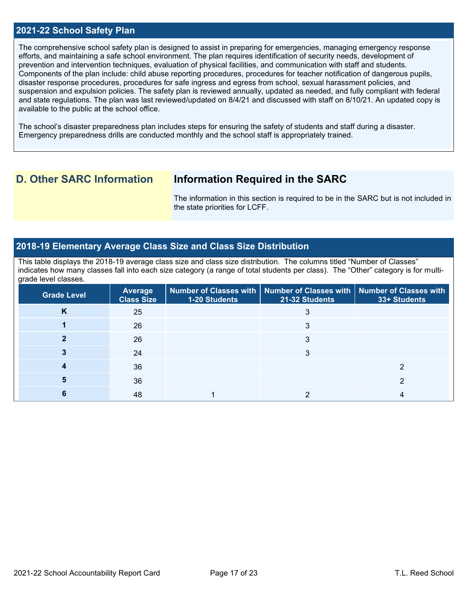#### **2021-22 School Safety Plan**

The comprehensive school safety plan is designed to assist in preparing for emergencies, managing emergency response efforts, and maintaining a safe school environment. The plan requires identification of security needs, development of prevention and intervention techniques, evaluation of physical facilities, and communication with staff and students. Components of the plan include: child abuse reporting procedures, procedures for teacher notification of dangerous pupils, disaster response procedures, procedures for safe ingress and egress from school, sexual harassment policies, and suspension and expulsion policies. The safety plan is reviewed annually, updated as needed, and fully compliant with federal and state regulations. The plan was last reviewed/updated on 8/4/21 and discussed with staff on 8/10/21. An updated copy is available to the public at the school office.

The school's disaster preparedness plan includes steps for ensuring the safety of students and staff during a disaster. Emergency preparedness drills are conducted monthly and the school staff is appropriately trained.

## **D. Other SARC Information Information Required in the SARC**

The information in this section is required to be in the SARC but is not included in the state priorities for LCFF.

#### **2018-19 Elementary Average Class Size and Class Size Distribution**

This table displays the 2018-19 average class size and class size distribution. The columns titled "Number of Classes" indicates how many classes fall into each size category (a range of total students per class). The "Other" category is for multigrade level classes.

| <b>Grade Level</b> | Average<br><b>Class Size</b> | 1-20 Students | Number of Classes with   Number of Classes with   Number of Classes with<br>21-32 Students | 33+ Students |
|--------------------|------------------------------|---------------|--------------------------------------------------------------------------------------------|--------------|
| n.                 | 25                           |               |                                                                                            |              |
|                    | 26                           |               | 3                                                                                          |              |
|                    | 26                           |               | 3                                                                                          |              |
|                    | 24                           |               | З                                                                                          |              |
|                    | 36                           |               |                                                                                            |              |
|                    | 36                           |               |                                                                                            |              |
|                    | 48                           |               |                                                                                            |              |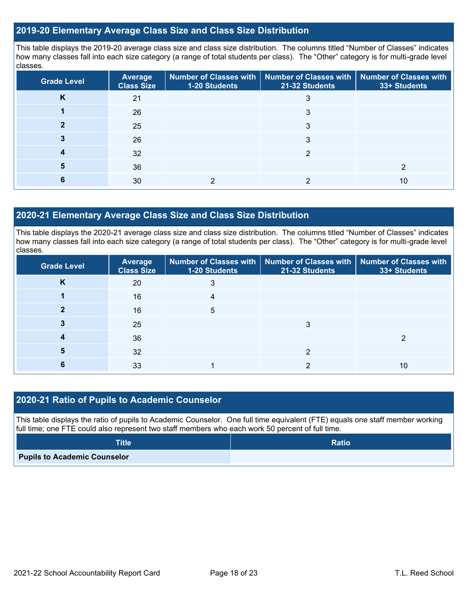#### **2019-20 Elementary Average Class Size and Class Size Distribution**

This table displays the 2019-20 average class size and class size distribution. The columns titled "Number of Classes" indicates how many classes fall into each size category (a range of total students per class). The "Other" category is for multi-grade level classes.

| <b>Grade Level</b> | <b>Average</b><br><b>Class Size</b> | <b>1-20 Students</b> | Number of Classes with   Number of Classes with   Number of Classes with<br>21-32 Students | 33+ Students |
|--------------------|-------------------------------------|----------------------|--------------------------------------------------------------------------------------------|--------------|
| K                  | 21                                  |                      | 3                                                                                          |              |
|                    | 26                                  |                      | 3                                                                                          |              |
|                    | 25                                  |                      | 3                                                                                          |              |
|                    | 26                                  |                      | 3                                                                                          |              |
|                    | 32                                  |                      | റ                                                                                          |              |
|                    | 36                                  |                      |                                                                                            |              |
|                    | 30                                  |                      |                                                                                            | 10           |

#### **2020-21 Elementary Average Class Size and Class Size Distribution**

This table displays the 2020-21 average class size and class size distribution. The columns titled "Number of Classes" indicates how many classes fall into each size category (a range of total students per class). The "Other" category is for multi-grade level classes.

| <b>Grade Level</b> | <b>Average</b><br><b>Class Size</b> | <b>1-20 Students</b> | Number of Classes with   Number of Classes with   Number of Classes with<br>21-32 Students | 33+ Students |
|--------------------|-------------------------------------|----------------------|--------------------------------------------------------------------------------------------|--------------|
| K                  | 20                                  | 3                    |                                                                                            |              |
|                    | 16                                  |                      |                                                                                            |              |
|                    | 16                                  | 5                    |                                                                                            |              |
|                    | 25                                  |                      | 3                                                                                          |              |
|                    | 36                                  |                      |                                                                                            |              |
| 5                  | 32                                  |                      | ◠                                                                                          |              |
|                    | 33                                  |                      |                                                                                            | 10           |

### **2020-21 Ratio of Pupils to Academic Counselor**

This table displays the ratio of pupils to Academic Counselor. One full time equivalent (FTE) equals one staff member working full time; one FTE could also represent two staff members who each work 50 percent of full time.

| <b>Title</b>                        | <b>Ratio</b> |
|-------------------------------------|--------------|
| <b>Pupils to Academic Counselor</b> |              |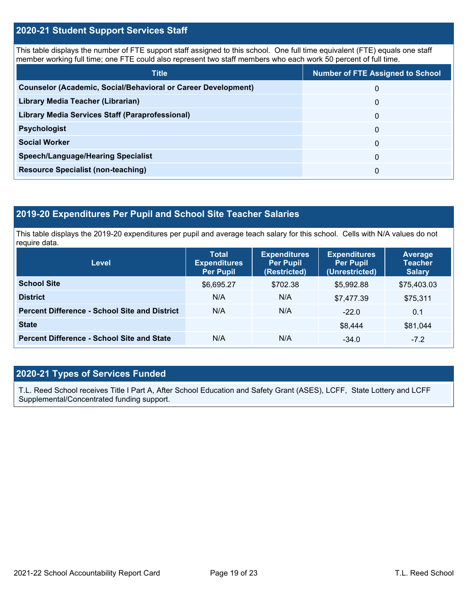#### **2020-21 Student Support Services Staff**

This table displays the number of FTE support staff assigned to this school. One full time equivalent (FTE) equals one staff member working full time; one FTE could also represent two staff members who each work 50 percent of full time.

| <b>Title</b>                                                         | <b>Number of FTE Assigned to School</b> |
|----------------------------------------------------------------------|-----------------------------------------|
| <b>Counselor (Academic, Social/Behavioral or Career Development)</b> | 0                                       |
| Library Media Teacher (Librarian)                                    | 0                                       |
| Library Media Services Staff (Paraprofessional)                      | 0                                       |
| <b>Psychologist</b>                                                  | 0                                       |
| <b>Social Worker</b>                                                 | $\Omega$                                |
| <b>Speech/Language/Hearing Specialist</b>                            | 0                                       |
| <b>Resource Specialist (non-teaching)</b>                            | 0                                       |

### **2019-20 Expenditures Per Pupil and School Site Teacher Salaries**

This table displays the 2019-20 expenditures per pupil and average teach salary for this school. Cells with N/A values do not require data.

| <b>Level</b>                                         | <b>Total</b><br><b>Expenditures</b><br><b>Per Pupil</b> | <b>Expenditures</b><br><b>Per Pupil</b><br>(Restricted) | <b>Expenditures</b><br><b>Per Pupil</b><br>(Unrestricted) | Average<br><b>Teacher</b><br><b>Salary</b> |  |
|------------------------------------------------------|---------------------------------------------------------|---------------------------------------------------------|-----------------------------------------------------------|--------------------------------------------|--|
| <b>School Site</b>                                   | \$6,695.27                                              | \$702.38                                                | \$5.992.88                                                | \$75,403.03                                |  |
| <b>District</b>                                      | N/A                                                     | N/A                                                     | \$7,477.39                                                | \$75,311                                   |  |
| <b>Percent Difference - School Site and District</b> | N/A                                                     | N/A                                                     | $-22.0$                                                   | 0.1                                        |  |
| <b>State</b>                                         |                                                         |                                                         | \$8,444                                                   | \$81,044                                   |  |
| <b>Percent Difference - School Site and State</b>    | N/A                                                     | N/A                                                     | $-34.0$                                                   | $-7.2$                                     |  |

### **2020-21 Types of Services Funded**

T.L. Reed School receives Title I Part A, After School Education and Safety Grant (ASES), LCFF, State Lottery and LCFF Supplemental/Concentrated funding support.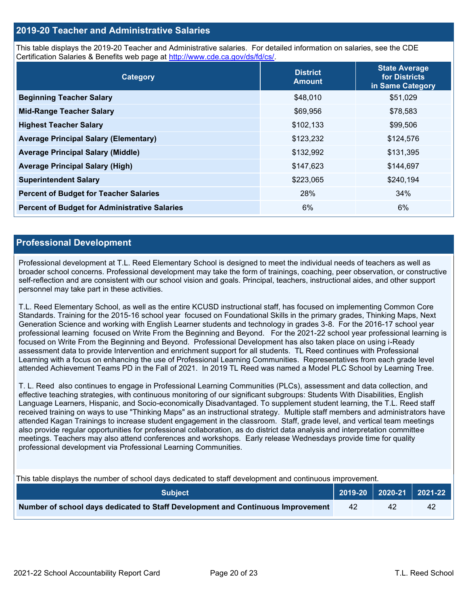#### **2019-20 Teacher and Administrative Salaries**

This table displays the 2019-20 Teacher and Administrative salaries. For detailed information on salaries, see the CDE Certification Salaries & Benefits web page at [http://www.cde.ca.gov/ds/fd/cs/.](http://www.cde.ca.gov/ds/fd/cs/)

| Category                                             | <b>District</b><br><b>Amount</b> | <b>State Average</b><br>for Districts<br>in Same Category |
|------------------------------------------------------|----------------------------------|-----------------------------------------------------------|
| <b>Beginning Teacher Salary</b>                      | \$48,010                         | \$51,029                                                  |
| <b>Mid-Range Teacher Salary</b>                      | \$69,956                         | \$78,583                                                  |
| <b>Highest Teacher Salary</b>                        | \$102,133                        | \$99,506                                                  |
| <b>Average Principal Salary (Elementary)</b>         | \$123,232                        | \$124,576                                                 |
| <b>Average Principal Salary (Middle)</b>             | \$132,992                        | \$131,395                                                 |
| <b>Average Principal Salary (High)</b>               | \$147,623                        | \$144,697                                                 |
| <b>Superintendent Salary</b>                         | \$223,065                        | \$240,194                                                 |
| <b>Percent of Budget for Teacher Salaries</b>        | 28%                              | 34%                                                       |
| <b>Percent of Budget for Administrative Salaries</b> | 6%                               | 6%                                                        |

#### **Professional Development**

Professional development at T.L. Reed Elementary School is designed to meet the individual needs of teachers as well as broader school concerns. Professional development may take the form of trainings, coaching, peer observation, or constructive self-reflection and are consistent with our school vision and goals. Principal, teachers, instructional aides, and other support personnel may take part in these activities.

T.L. Reed Elementary School, as well as the entire KCUSD instructional staff, has focused on implementing Common Core Standards. Training for the 2015-16 school year focused on Foundational Skills in the primary grades, Thinking Maps, Next Generation Science and working with English Learner students and technology in grades 3-8. For the 2016-17 school year professional learning focused on Write From the Beginning and Beyond. For the 2021-22 school year professional learning is focused on Write From the Beginning and Beyond. Professional Development has also taken place on using i-Ready assessment data to provide Intervention and enrichment support for all students. TL Reed continues with Professional Learning with a focus on enhancing the use of Professional Learning Communities. Representatives from each grade level attended Achievement Teams PD in the Fall of 2021. In 2019 TL Reed was named a Model PLC School by Learning Tree.

T. L. Reed also continues to engage in Professional Learning Communities (PLCs), assessment and data collection, and effective teaching strategies, with continuous monitoring of our significant subgroups: Students With Disabilities, English Language Learners, Hispanic, and Socio-economically Disadvantaged. To supplement student learning, the T.L. Reed staff received training on ways to use "Thinking Maps" as an instructional strategy. Multiple staff members and administrators have attended Kagan Trainings to increase student engagement in the classroom. Staff, grade level, and vertical team meetings also provide regular opportunities for professional collaboration, as do district data analysis and interpretation committee meetings. Teachers may also attend conferences and workshops. Early release Wednesdays provide time for quality professional development via Professional Learning Communities.

This table displays the number of school days dedicated to staff development and continuous improvement.

| <b>Subiect</b> \                                                                |    |    | $2019-20$ 2020-21 2021-22 |
|---------------------------------------------------------------------------------|----|----|---------------------------|
| Number of school days dedicated to Staff Development and Continuous Improvement | 42 | 42 |                           |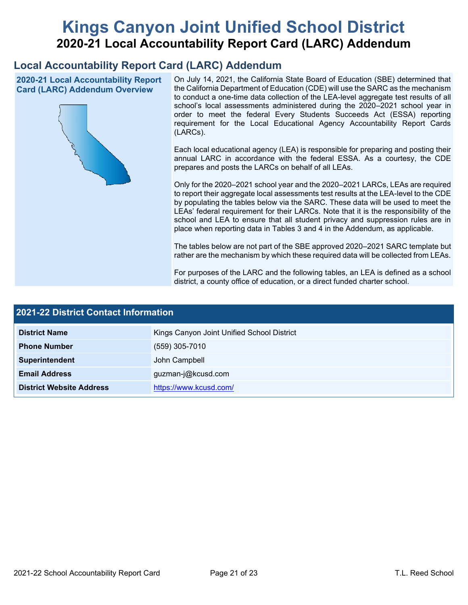# **Kings Canyon Joint Unified School District 2020-21 Local Accountability Report Card (LARC) Addendum**

## **Local Accountability Report Card (LARC) Addendum**

**2020-21 Local Accountability Report Card (LARC) Addendum Overview**



On July 14, 2021, the California State Board of Education (SBE) determined that the California Department of Education (CDE) will use the SARC as the mechanism to conduct a one-time data collection of the LEA-level aggregate test results of all school's local assessments administered during the 2020–2021 school year in order to meet the federal Every Students Succeeds Act (ESSA) reporting requirement for the Local Educational Agency Accountability Report Cards (LARCs).

Each local educational agency (LEA) is responsible for preparing and posting their annual LARC in accordance with the federal ESSA. As a courtesy, the CDE prepares and posts the LARCs on behalf of all LEAs.

Only for the 2020–2021 school year and the 2020–2021 LARCs, LEAs are required to report their aggregate local assessments test results at the LEA-level to the CDE by populating the tables below via the SARC. These data will be used to meet the LEAs' federal requirement for their LARCs. Note that it is the responsibility of the school and LEA to ensure that all student privacy and suppression rules are in place when reporting data in Tables 3 and 4 in the Addendum, as applicable.

The tables below are not part of the SBE approved 2020–2021 SARC template but rather are the mechanism by which these required data will be collected from LEAs.

For purposes of the LARC and the following tables, an LEA is defined as a school district, a county office of education, or a direct funded charter school.

| <b>2021-22 District Contact Information</b> |                                            |  |  |  |
|---------------------------------------------|--------------------------------------------|--|--|--|
| <b>District Name</b>                        | Kings Canyon Joint Unified School District |  |  |  |
| <b>Phone Number</b>                         | $(559)$ 305-7010                           |  |  |  |
| Superintendent                              | John Campbell                              |  |  |  |
| <b>Email Address</b>                        | guzman-j@kcusd.com                         |  |  |  |
| <b>District Website Address</b>             | https://www.kcusd.com/                     |  |  |  |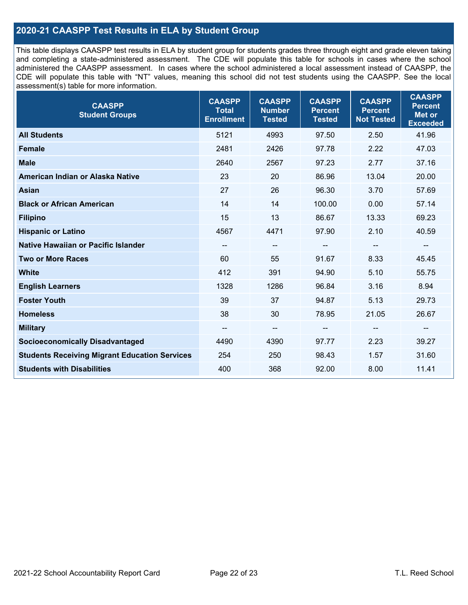### **2020-21 CAASPP Test Results in ELA by Student Group**

This table displays CAASPP test results in ELA by student group for students grades three through eight and grade eleven taking and completing a state-administered assessment. The CDE will populate this table for schools in cases where the school administered the CAASPP assessment. In cases where the school administered a local assessment instead of CAASPP, the CDE will populate this table with "NT" values, meaning this school did not test students using the CAASPP. See the local assessment(s) table for more information.

| <b>CAASPP</b><br><b>Student Groups</b>               | <b>CAASPP</b><br><b>Total</b><br><b>Enrollment</b> | <b>CAASPP</b><br><b>Number</b><br><b>Tested</b> | <b>CAASPP</b><br><b>Percent</b><br><b>Tested</b> | <b>CAASPP</b><br><b>Percent</b><br><b>Not Tested</b> | <b>CAASPP</b><br><b>Percent</b><br><b>Met or</b><br><b>Exceeded</b> |
|------------------------------------------------------|----------------------------------------------------|-------------------------------------------------|--------------------------------------------------|------------------------------------------------------|---------------------------------------------------------------------|
| <b>All Students</b>                                  | 5121                                               | 4993                                            | 97.50                                            | 2.50                                                 | 41.96                                                               |
| <b>Female</b>                                        | 2481                                               | 2426                                            | 97.78                                            | 2.22                                                 | 47.03                                                               |
| <b>Male</b>                                          | 2640                                               | 2567                                            | 97.23                                            | 2.77                                                 | 37.16                                                               |
| American Indian or Alaska Native                     | 23                                                 | 20                                              | 86.96                                            | 13.04                                                | 20.00                                                               |
| <b>Asian</b>                                         | 27                                                 | 26                                              | 96.30                                            | 3.70                                                 | 57.69                                                               |
| <b>Black or African American</b>                     | 14                                                 | 14                                              | 100.00                                           | 0.00                                                 | 57.14                                                               |
| <b>Filipino</b>                                      | 15                                                 | 13                                              | 86.67                                            | 13.33                                                | 69.23                                                               |
| <b>Hispanic or Latino</b>                            | 4567                                               | 4471                                            | 97.90                                            | 2.10                                                 | 40.59                                                               |
| Native Hawaiian or Pacific Islander                  | --                                                 | $\overline{\phantom{m}}$                        | --                                               | $\overline{\phantom{a}}$                             | $\overline{\phantom{a}}$                                            |
| <b>Two or More Races</b>                             | 60                                                 | 55                                              | 91.67                                            | 8.33                                                 | 45.45                                                               |
| <b>White</b>                                         | 412                                                | 391                                             | 94.90                                            | 5.10                                                 | 55.75                                                               |
| <b>English Learners</b>                              | 1328                                               | 1286                                            | 96.84                                            | 3.16                                                 | 8.94                                                                |
| <b>Foster Youth</b>                                  | 39                                                 | 37                                              | 94.87                                            | 5.13                                                 | 29.73                                                               |
| <b>Homeless</b>                                      | 38                                                 | 30                                              | 78.95                                            | 21.05                                                | 26.67                                                               |
| <b>Military</b>                                      | --                                                 | --                                              | --                                               | --                                                   | --                                                                  |
| <b>Socioeconomically Disadvantaged</b>               | 4490                                               | 4390                                            | 97.77                                            | 2.23                                                 | 39.27                                                               |
| <b>Students Receiving Migrant Education Services</b> | 254                                                | 250                                             | 98.43                                            | 1.57                                                 | 31.60                                                               |
| <b>Students with Disabilities</b>                    | 400                                                | 368                                             | 92.00                                            | 8.00                                                 | 11.41                                                               |